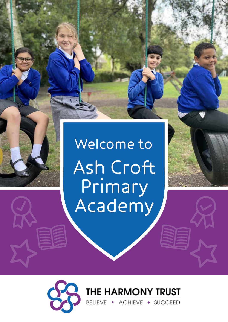

# Welcome to Ash Croft<br>Primary<br>Academy

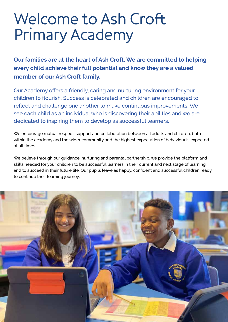### Welcome to Ash Croft Primary Academy

**Our families are at the heart of Ash Croft. We are committed to helping every child achieve their full potential and know they are a valued member of our Ash Croft family.**

Our Academy offers a friendly, caring and nurturing environment for your children to flourish. Success is celebrated and children are encouraged to reflect and challenge one another to make continuous improvements. We see each child as an individual who is discovering their abilities and we are dedicated to inspiring them to develop as successful learners.

We encourage mutual respect, support and collaboration between all adults and children, both within the academy and the wider community and the highest expectation of behaviour is expected at all times.

We believe through our guidance, nurturing and parental partnership, we provide the platform and skills needed for your children to be successful learners in their current and next stage of learning and to succeed in their future life. Our pupils leave as happy, confident and successful children ready to continue their learning journey.

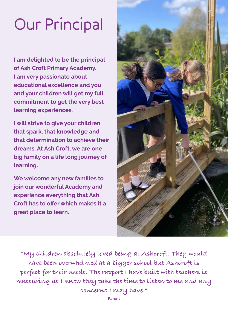# Our Principal

**I am delighted to be the principal of Ash Croft Primary Academy. I am very passionate about educational excellence and you and your children will get my full commitment to get the very best learning experiences.** 

**I will strive to give your children that spark, that knowledge and that determination to achieve their dreams. At Ash Croft, we are one big family on a life long journey of learning.** 

**We welcome any new families to join our wonderful Academy and experience everything that Ash Croft has to offer which makes it a great place to learn.**



**"My children absolutely loved being at Ashcroft. They would have been overwhelmed at a bigger school but Ashcroft is perfect for their needs. The rapport I have built with teachers is reassuring as I know they take the time to listen to me and any concerns I may have."**

**Parent**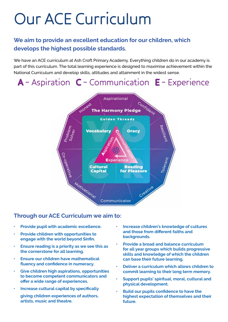## Our ACE Curriculum

#### **We aim to provide an excellent education for our children, which develops the highest possible standards.**

We have an ACE curriculum at Ash Croft Primary Academy. Everything children do in our academy is part of this curriculum. The total learning experience is designed to maximise achievement within the National Curriculum and develop skills, attitudes and attainment in the widest sense.

### A – Aspiration C – Communication E – Experience



#### **Through our ACE Curriculum we aim to:**

- **• Provide pupil with academic excellence.**
- **• Provide children with opportunities to engage with the world beyond Sinfin.**
- **• Ensure reading is a priority as we see this as the cornerstone for all learning.**
- **• Ensure our children have mathematical fluency and confidence in numeracy.**
- **• Give children high aspirations, opportunities to become competent communicators and offer a wide range of experiences.**
- **• Increase cultural capital by specifically giving children experiences of authors, artists, music and theatre.**
- **• Increase children's knowledge of cultures and those from different faiths and backgrounds.**
- **• Provide a broad and balance curriculum for all year groups which builds progressive skills and knowledge of which the children can base their future learning.**
- **• Deliver a curriculum which allows children to commit learning to their long term memory.**
- **• Support pupils' spiritual, moral, cultural and physical development.**
- **• Build our pupils confidence to have the highest expectation of themselves and their future.**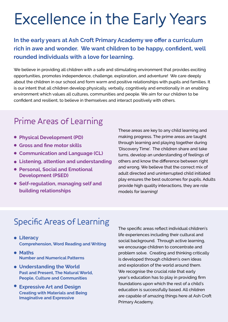### Excellence in the Early Years

**In the early years at Ash Croft Primary Academy we offer a curriculum rich in awe and wonder. We want children to be happy, confident, well rounded individuals with a love for learning.** 

We believe in providing all children with a safe and stimulating environment that provides exciting opportunities, promotes independence, challenge, exploration, and adventure! We care deeply about the children in our school and form warm and positive relationships with pupils and families. It is our intent that all children develop physically, verbally, cognitively and emotionally in an enabling environment which values all cultures, communities and people. We aim for our children to be confident and resilient, to believe in themselves and interact positively with others.

### Prime Areas of Learning

- **Physical Development (PD) •**
- **Gross and fine motor skills •**
- **Communication and Language (CL) •**
- Listening, attention and understanding
- **Personal, Social and Emotional Development (PSED) •**
- **Self-regulation, managing self and building relationships •**

These areas are key to any child learning and making progress. The prime areas are taught through learning and playing together during 'Discovery Time'. The children share and take turns, develop an understanding of feelings of others and know the difference between right and wrong. We believe that the correct mix of adult directed and uninterrupted child initiated play ensures the best outcomes for pupils. Adults provide high quality interactions, they are role models for learning!

### Specific Areas of Learning

- **Literacy • Comprehension, Word Reading and Writing**
- Maths<br> **Numbe Number and Numerical Patterns**
- **Understanding the World • Past and Present, The Natural World, People, Culture and Communities**
- **Expressive Art and Design •Creating with Materials and Being Imaginative and Expressive**

The specific areas reflect individual children's life experiences including their cultural and social background. Through active learning, we encourage children to concentrate and problem solve. Creating and thinking critically is developed through children's own ideas and exploration of the world around them. We recognise the crucial role that early year's education has to play in providing firm foundations upon which the rest of a child's education is successfully based. All children are capable of amazing things here at Ash Croft Primary Academy.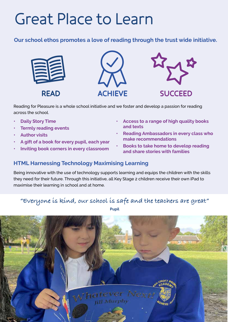### Great Place to Learn

**Our school ethos promotes a love of reading through the trust wide initiative.**







Reading for Pleasure is a whole school initiative and we foster and develop a passion for reading across the school.

- **• Daily Story Time**
- **• Termly reading events**
- **• Author visits**
- **• A gift of a book for every pupil, each year**
- **• Inviting book corners in every classroom**
- **• Access to a range of high quality books and texts**
- **• Reading Ambassadors in every class who make recommendations**
- **• Books to take home to develop reading and share stories with families**

#### **HTML Harnessing Technology Maximising Learning**

Being innovative with the use of technology supports learning and equips the children with the skills they need for their future. Through this initiative, all Key Stage 2 children receive their own iPad to maximise their learning in school and at home.

#### **"Everyone is kind, our school is safe and the teachers are great"**



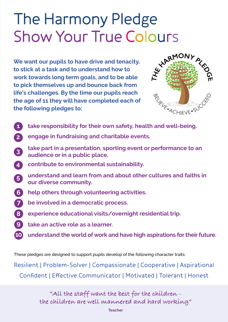# The Harmony Pledge

**We want our pupils to have drive and tenacity, to stick at a task and to understand how to work towards long term goals, and to be able to pick themselves up and bounce back from life's challenges. By the time our pupils reach the age of 11 they will have completed each of the following pledges to;** Show Your True Colours<br>We want our pupils to have drive and tenacity,<br>to stick at a task and to understand health and the star work towards !



- **take responsibility for their own safety, health and well-being. 1**
- **engage in fundraising and charitable events. 2**
- **take part in a presentation, sporting event or performance to an audience or in a public place. 3**
- **contribute to environmental sustainability. 4**
- **understand and learn from and about other cultures and faiths in our diverse community. 5**
- **help others through volunteering activities. 6**
- **be involved in a democratic process. 7**
- **experience educational visits/overnight residential trip. 8**
- **take an active role as a learner. 9**
- **10 understand the world of work and have high aspirations for their future.**

These pledges are designed to support pupils develop of the following character traits:

Resilient | Problem-Solver | Compassionate | Cooperative | Aspirational Confident | Effective Communicator | Motivated | Tolerant | Honest

> **"All the staff want the best for the children the children are well mannered and hard working"**

> > **Teacher**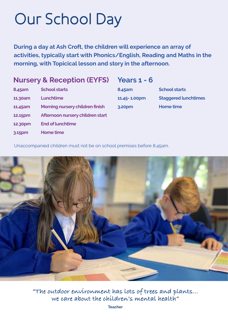### Our School Day

**During a day at Ash Croft, the children will experience an array of activities, typically start with Phonics/English, Reading and Maths in the morning, with Topicical lesson and story in the afternoon.**

#### **Nursery & Reception (EYFS)**

#### **Years 1 - 6**

| 8.45am  | <b>School starts</b>                   |
|---------|----------------------------------------|
| 11.30am | Lunchtime                              |
| 11.45am | <b>Morning nursery children finish</b> |
| 12.15pm | Afternoon nursery children start       |
| 12.30pm | <b>End of lunchtime</b>                |
| 3.15pm  | <b>Home time</b>                       |

**8.45am School starts 11.45- 1.00pm Staggered lunchtimes 3.20pm Home time**

Unaccompanied children must not be on school premises before 8.45am.



**"The outdoor environment has lots of trees and plants... we care about the children's mental health"**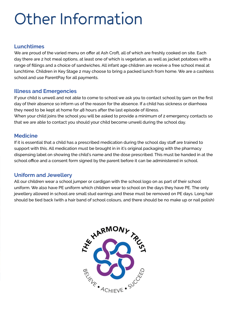## Other Information

#### **Lunchtimes**

We are proud of the varied menu on offer at Ash Croft, all of which are freshly cooked on site. Each day there are 2 hot meal options, at least one of which is vegetarian, as well as jacket potatoes with a range of fillings and a choice of sandwiches. All infant age children are receive a free school meal at lunchtime. Children in Key Stage 2 may choose to bring a packed lunch from home. We are a cashless school and use ParentPay for all payments.

#### **Illness and Emergencies**

If your child is unwell and not able to come to school we ask you to contact school by 9am on the first day of their absence so inform us of the reason for the absence. If a child has sickness or diarrhoea they need to be kept at home for 48 hours after the last episode of illness.

When your child joins the school you will be asked to provide a minimum of 2 emergency contacts so that we are able to contact you should your child become unwell during the school day.

#### **Medicine**

If it is essential that a child has a prescribed medication during the school day staff are trained to support with this. All medication must be brought in in it's original packaging with the pharmacy dispensing label on showing the child's name and the dose prescribed. This must be handed in at the school office and a consent form signed by the parent before it can be administered in school.

#### **Uniform and Jewellery**

All our children wear a school jumper or cardigan with the school logo on as part of their school uniform. We also have PE uniform which children wear to school on the days they have PE. The only jewellery allowed in school are small stud earrings and these must be removed on PE days. Long hair should be tied back (with a hair band of school colours, and there should be no make up or nail polish)